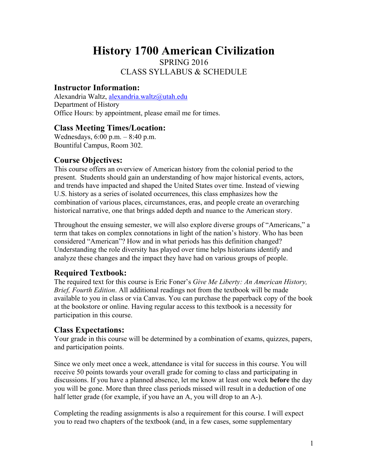# **History 1700 American Civilization** SPRING 2016 CLASS SYLLABUS & SCHEDULE

### **Instructor Information:**

Alexandria Waltz, alexandria.waltz@utah.edu Department of History Office Hours: by appointment, please email me for times.

# **Class Meeting Times/Location:**

Wednesdays, 6:00 p.m. – 8:40 p.m. Bountiful Campus, Room 302.

### **Course Objectives:**

This course offers an overview of American history from the colonial period to the present. Students should gain an understanding of how major historical events, actors, and trends have impacted and shaped the United States over time. Instead of viewing U.S. history as a series of isolated occurrences, this class emphasizes how the combination of various places, circumstances, eras, and people create an overarching historical narrative, one that brings added depth and nuance to the American story.

Throughout the ensuing semester, we will also explore diverse groups of "Americans," a term that takes on complex connotations in light of the nation's history. Who has been considered "American"? How and in what periods has this definition changed? Understanding the role diversity has played over time helps historians identify and analyze these changes and the impact they have had on various groups of people.

# **Required Textbook:**

The required text for this course is Eric Foner's *Give Me Liberty: An American History, Brief, Fourth Edition*. All additional readings not from the textbook will be made available to you in class or via Canvas. You can purchase the paperback copy of the book at the bookstore or online. Having regular access to this textbook is a necessity for participation in this course.

# **Class Expectations:**

Your grade in this course will be determined by a combination of exams, quizzes, papers, and participation points.

Since we only meet once a week, attendance is vital for success in this course. You will receive 50 points towards your overall grade for coming to class and participating in discussions. If you have a planned absence, let me know at least one week **before** the day you will be gone. More than three class periods missed will result in a deduction of one half letter grade (for example, if you have an A, you will drop to an A-).

Completing the reading assignments is also a requirement for this course. I will expect you to read two chapters of the textbook (and, in a few cases, some supplementary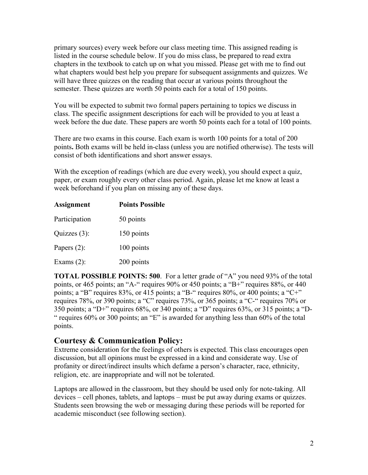primary sources) every week before our class meeting time. This assigned reading is listed in the course schedule below. If you do miss class, be prepared to read extra chapters in the textbook to catch up on what you missed. Please get with me to find out what chapters would best help you prepare for subsequent assignments and quizzes. We will have three quizzes on the reading that occur at various points throughout the semester. These quizzes are worth 50 points each for a total of 150 points.

You will be expected to submit two formal papers pertaining to topics we discuss in class. The specific assignment descriptions for each will be provided to you at least a week before the due date. These papers are worth 50 points each for a total of 100 points.

There are two exams in this course. Each exam is worth 100 points for a total of 200 points**.** Both exams will be held in-class (unless you are notified otherwise). The tests will consist of both identifications and short answer essays.

With the exception of readings (which are due every week), you should expect a quiz, paper, or exam roughly every other class period. Again, please let me know at least a week beforehand if you plan on missing any of these days.

| <b>Assignment</b> | <b>Points Possible</b> |
|-------------------|------------------------|
| Participation     | 50 points              |
| Quizzes (3):      | 150 points             |
| Papers $(2)$ :    | 100 points             |
| Exams $(2)$ :     | 200 points             |

**TOTAL POSSIBLE POINTS: 500**. For a letter grade of "A" you need 93% of the total points, or 465 points; an "A-" requires 90% or 450 points; a "B+" requires 88%, or 440 points; a "B" requires 83%, or 415 points; a "B-" requires 80%, or 400 points; a "C+" requires 78%, or 390 points; a "C" requires 73%, or 365 points; a "C-" requires 70% or 350 points; a "D+" requires 68%, or 340 points; a "D" requires 63%, or 315 points; a "D- " requires  $60\%$  or 300 points; an "E" is awarded for anything less than  $60\%$  of the total points.

# **Courtesy & Communication Policy:**

Extreme consideration for the feelings of others is expected. This class encourages open discussion, but all opinions must be expressed in a kind and considerate way. Use of profanity or direct/indirect insults which defame a person's character, race, ethnicity, religion, etc. are inappropriate and will not be tolerated.

Laptops are allowed in the classroom, but they should be used only for note-taking. All devices – cell phones, tablets, and laptops – must be put away during exams or quizzes. Students seen browsing the web or messaging during these periods will be reported for academic misconduct (see following section).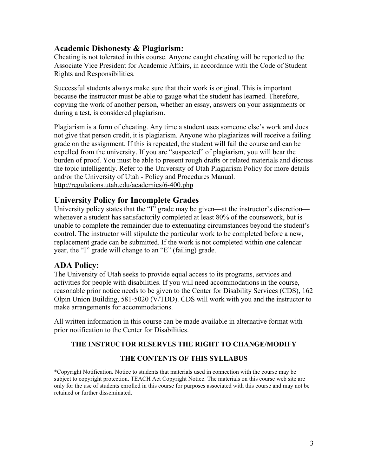### **Academic Dishonesty & Plagiarism:**

Cheating is not tolerated in this course. Anyone caught cheating will be reported to the Associate Vice President for Academic Affairs, in accordance with the Code of Student Rights and Responsibilities.

Successful students always make sure that their work is original. This is important because the instructor must be able to gauge what the student has learned. Therefore, copying the work of another person, whether an essay, answers on your assignments or during a test, is considered plagiarism.

Plagiarism is a form of cheating. Any time a student uses someone else's work and does not give that person credit, it is plagiarism. Anyone who plagiarizes will receive a failing grade on the assignment. If this is repeated, the student will fail the course and can be expelled from the university. If you are "suspected" of plagiarism, you will bear the burden of proof. You must be able to present rough drafts or related materials and discuss the topic intelligently. Refer to the University of Utah Plagiarism Policy for more details and/or the University of Utah - Policy and Procedures Manual. http://regulations.utah.edu/academics/6-400.php

### **University Policy for Incomplete Grades**

University policy states that the "I" grade may be given—at the instructor's discretion whenever a student has satisfactorily completed at least 80% of the coursework, but is unable to complete the remainder due to extenuating circumstances beyond the student's control. The instructor will stipulate the particular work to be completed before a new, replacement grade can be submitted. If the work is not completed within one calendar year, the "I" grade will change to an "E" (failing) grade.

# **ADA Policy:**

The University of Utah seeks to provide equal access to its programs, services and activities for people with disabilities. If you will need accommodations in the course, reasonable prior notice needs to be given to the Center for Disability Services (CDS), 162 Olpin Union Building, 581-5020 (V/TDD). CDS will work with you and the instructor to make arrangements for accommodations.

All written information in this course can be made available in alternative format with prior notification to the Center for Disabilities.

#### **THE INSTRUCTOR RESERVES THE RIGHT TO CHANGE/MODIFY**

#### **THE CONTENTS OF THIS SYLLABUS**

\*Copyright Notification. Notice to students that materials used in connection with the course may be subject to copyright protection. TEACH Act Copyright Notice. The materials on this course web site are only for the use of students enrolled in this course for purposes associated with this course and may not be retained or further disseminated.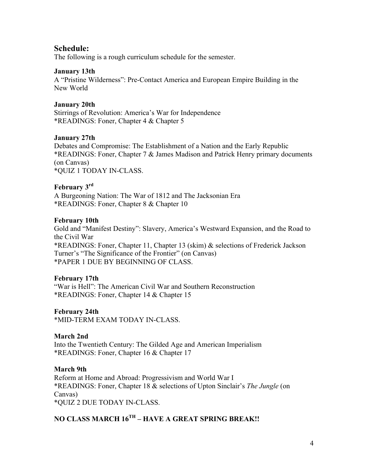### **Schedule:**

The following is a rough curriculum schedule for the semester.

#### **January 13th**

A "Pristine Wilderness": Pre-Contact America and European Empire Building in the New World

#### **January 20th**

Stirrings of Revolution: America's War for Independence \*READINGS: Foner, Chapter 4 & Chapter 5

#### **January 27th**

Debates and Compromise: The Establishment of a Nation and the Early Republic \*READINGS: Foner, Chapter 7 & James Madison and Patrick Henry primary documents (on Canvas) \*QUIZ 1 TODAY IN-CLASS.

#### **February 3rd**

A Burgeoning Nation: The War of 1812 and The Jacksonian Era \*READINGS: Foner, Chapter 8 & Chapter 10

#### **February 10th**

Gold and "Manifest Destiny": Slavery, America's Westward Expansion, and the Road to the Civil War \*READINGS: Foner, Chapter 11, Chapter 13 (skim) & selections of Frederick Jackson Turner's "The Significance of the Frontier" (on Canvas) \*PAPER 1 DUE BY BEGINNING OF CLASS.

#### **February 17th**

"War is Hell": The American Civil War and Southern Reconstruction \*READINGS: Foner, Chapter 14 & Chapter 15

#### **February 24th**

\*MID-TERM EXAM TODAY IN-CLASS.

#### **March 2nd**

Into the Twentieth Century: The Gilded Age and American Imperialism \*READINGS: Foner, Chapter 16 & Chapter 17

#### **March 9th**

Reform at Home and Abroad: Progressivism and World War I \*READINGS: Foner, Chapter 18 & selections of Upton Sinclair's *The Jungle* (on Canvas) \*QUIZ 2 DUE TODAY IN-CLASS.

# **NO CLASS MARCH 16TH – HAVE A GREAT SPRING BREAK!!**